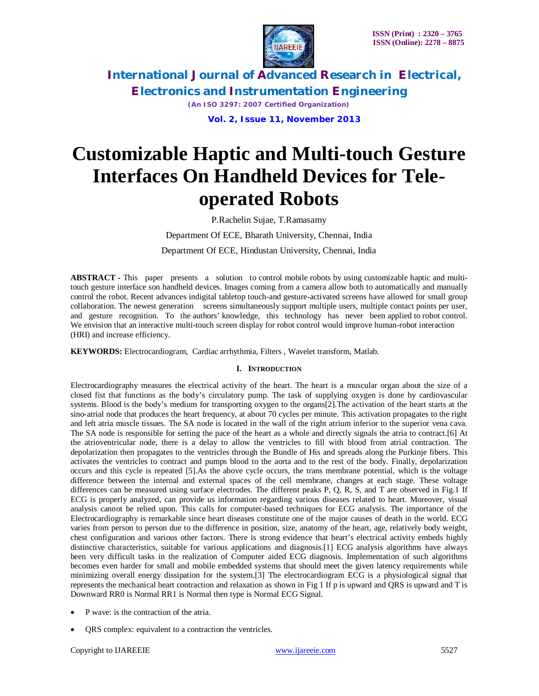

*(An ISO 3297: 2007 Certified Organization)*

 **Vol. 2, Issue 11, November 2013**

# **Customizable Haptic and Multi-touch Gesture Interfaces On Handheld Devices for Teleoperated Robots**

P.Rachelin Sujae, T.Ramasamy

Department Of ECE, Bharath University, Chennai, India Department Of ECE, Hindustan University, Chennai, India

**ABSTRACT -** This paper presents a solution to control mobile robots by using customizable haptic and multitouch gesture interface son handheld devices. Images coming from a camera allow both to automatically and manually control the robot. Recent advances indigital tabletop touch-and gesture-activated screens have allowed for small group collaboration. The newest generation screens simultaneously support multiple users, multiple contact points per user, and gesture recognition. To the authors' knowledge, this technology has never been applied to robot control. We envision that an interactive multi-touch screen display for robot control would improve human-robot interaction (HRI) and increase efficiency.

**KEYWORDS:** Electrocardiogram, Cardiac arrhythmia, Filters , Wavelet transform, Matlab.

#### **I. INTRODUCTION**

Electrocardiography measures the electrical activity of the heart. The heart is a muscular organ about the size of a closed fist that functions as the body's circulatory pump. The task of supplying oxygen is done by cardiovascular systems. Blood is the body's medium for transporting oxygen to the organs[2].The activation of the heart starts at the sino-atrial node that produces the heart frequency, at about 70 cycles per minute. This activation propagates to the right and left atria muscle tissues. The SA node is located in the wall of the right atrium inferior to the superior vena cava. The SA node is responsible for setting the pace of the heart as a whole and directly signals the atria to contract.[6] At the atrioventricular node, there is a delay to allow the ventricles to fill with blood from atrial contraction. The depolarization then propagates to the ventricles through the Bundle of His and spreads along the Purkinje fibers. This activates the ventricles to contract and pumps blood to the aorta and to the rest of the body. Finally, depolarization occurs and this cycle is repeated [5].As the above cycle occurs, the trans membrane potential, which is the voltage difference between the internal and external spaces of the cell membrane, changes at each stage. These voltage differences can be measured using surface electrodes. The different peaks P, Q, R, S, and T are observed in Fig.1 If ECG is properly analyzed, can provide us information regarding various diseases related to heart. Moreover, visual analysis cannot be relied upon. This calls for computer-based techniques for ECG analysis. The importance of the Electrocardiography is remarkable since heart diseases constitute one of the major causes of death in the world. ECG varies from person to person due to the difference in position, size, anatomy of the heart, age, relatively body weight, chest configuration and various other factors. There is strong evidence that heart's electrical activity embeds highly distinctive characteristics, suitable for various applications and diagnosis.[1] ECG analysis algorithms have always been very difficult tasks in the realization of Computer aided ECG diagnosis. Implementation of such algorithms becomes even harder for small and mobile embedded systems that should meet the given latency requirements while minimizing overall energy dissipation for the system.[3] The electrocardiogram ECG is a physiological signal that represents the mechanical heart contraction and relaxation as shown in Fig 1 If p is upward and QRS is upward and T is Downward RR0 is Normal RR1 is Normal then type is Normal ECG Signal.

- P wave: is the contraction of the atria.
- QRS complex: equivalent to a contraction the ventricles.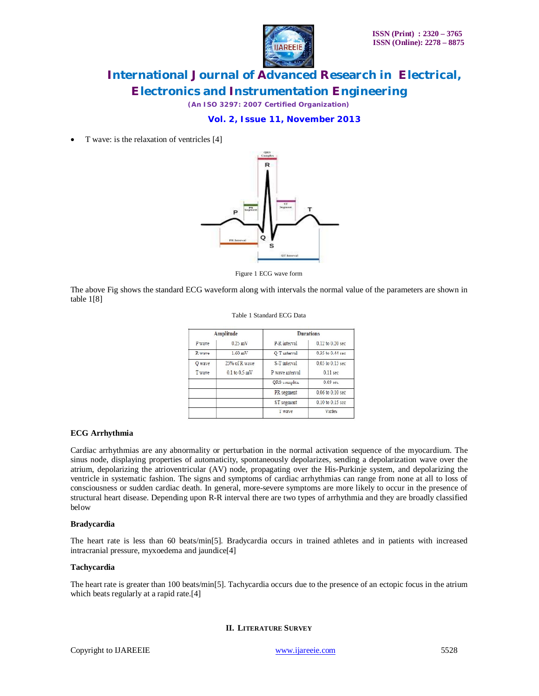

*(An ISO 3297: 2007 Certified Organization)*

### **Vol. 2, Issue 11, November 2013**

• T wave: is the relaxation of ventricles [4]



Figure 1 ECG wave form

The above Fig shows the standard ECG waveform along with intervals the normal value of the parameters are shown in table 1[8]

Table 1 Standard ECG Data

| <b>Amplitude</b> |                   | <b>Durations</b> |                     |
|------------------|-------------------|------------------|---------------------|
| P wave           | $0.25$ mV         | P-R interval     | 0.12 to 0.20 sec    |
| R wave           | $1.60 \text{ mV}$ | Q-T interval     | 0.35 to 0.44 sec    |
| O wave           | 25% of R wave     | S-T interval     | 0.05 to 0.15 sec    |
| T wave           | $0.1$ to $0.5$ mV | P wave interval  | $0.11$ sec          |
|                  |                   | QRS complex      | 0.09 <sub>sec</sub> |
|                  |                   | PR segment       | 0.06 to 0.10 sec    |
|                  |                   | ST segment       | 0.10 to 0.15 sec    |
|                  |                   | T wave           | Varies              |

#### **ECG Arrhythmia**

Cardiac arrhythmias are any abnormality or perturbation in the normal activation sequence of the myocardium. The sinus node, displaying properties of automaticity, spontaneously depolarizes, sending a depolarization wave over the atrium, depolarizing the atrioventricular (AV) node, propagating over the His-Purkinje system, and depolarizing the ventricle in systematic fashion. The signs and symptoms of cardiac arrhythmias can range from none at all to loss of consciousness or sudden cardiac death. In general, more-severe symptoms are more likely to occur in the presence of structural heart disease. Depending upon R-R interval there are two types of arrhythmia and they are broadly classified below

#### **Bradycardia**

The heart rate is less than 60 beats/min[5]. Bradycardia occurs in trained athletes and in patients with increased intracranial pressure, myxoedema and jaundice[4]

#### **Tachycardia**

The heart rate is greater than 100 beats/min[5]. Tachycardia occurs due to the presence of an ectopic focus in the atrium which beats regularly at a rapid rate.[4]

### **II. LITERATURE SURVEY**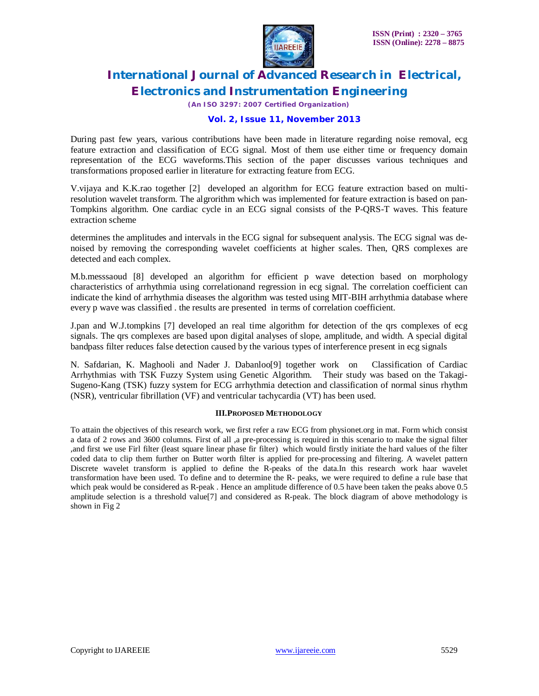

*(An ISO 3297: 2007 Certified Organization)*

#### **Vol. 2, Issue 11, November 2013**

During past few years, various contributions have been made in literature regarding noise removal, ecg feature extraction and classification of ECG signal. Most of them use either time or frequency domain representation of the ECG waveforms.This section of the paper discusses various techniques and transformations proposed earlier in literature for extracting feature from ECG.

V.vijaya and K.K.rao together [2] developed an algorithm for ECG feature extraction based on multiresolution wavelet transform. The algrorithm which was implemented for feature extraction is based on pan-Tompkins algorithm. One cardiac cycle in an ECG signal consists of the P-QRS-T waves. This feature extraction scheme

determines the amplitudes and intervals in the ECG signal for subsequent analysis. The ECG signal was denoised by removing the corresponding wavelet coefficients at higher scales. Then, QRS complexes are detected and each complex.

M.b.messsaoud [8] developed an algorithm for efficient p wave detection based on morphology characteristics of arrhythmia using correlationand regression in ecg signal. The correlation coefficient can indicate the kind of arrhythmia diseases the algorithm was tested using MIT-BIH arrhythmia database where every p wave was classified . the results are presented in terms of correlation coefficient.

J.pan and W.J.tompkins [7] developed an real time algorithm for detection of the qrs complexes of ecg signals. The qrs complexes are based upon digital analyses of slope, amplitude, and width. A special digital bandpass filter reduces false detection caused by the various types of interference present in ecg signals

N. Safdarian, K. Maghooli and Nader J. Dabanloo[9] together work on Classification of Cardiac Arrhythmias with TSK Fuzzy System using Genetic Algorithm. Their study was based on the Takagi-Sugeno-Kang (TSK) fuzzy system for ECG arrhythmia detection and classification of normal sinus rhythm (NSR), ventricular fibrillation (VF) and ventricular tachycardia (VT) has been used.

#### **III.PROPOSED METHODOLOGY**

To attain the objectives of this research work, we first refer a raw ECG from physionet.org in mat. Form which consist a data of 2 rows and 3600 columns. First of all ,a pre-processing is required in this scenario to make the signal filter ,and first we use Firl filter (least square linear phase fir filter) which would firstly initiate the hard values of the filter coded data to clip them further on Butter worth filter is applied for pre-processing and filtering. A wavelet pattern Discrete wavelet transform is applied to define the R-peaks of the data.In this research work haar wavelet transformation have been used. To define and to determine the R- peaks, we were required to define a rule base that which peak would be considered as R-peak . Hence an amplitude difference of 0.5 have been taken the peaks above 0.5 amplitude selection is a threshold value[7] and considered as R-peak. The block diagram of above methodology is shown in Fig 2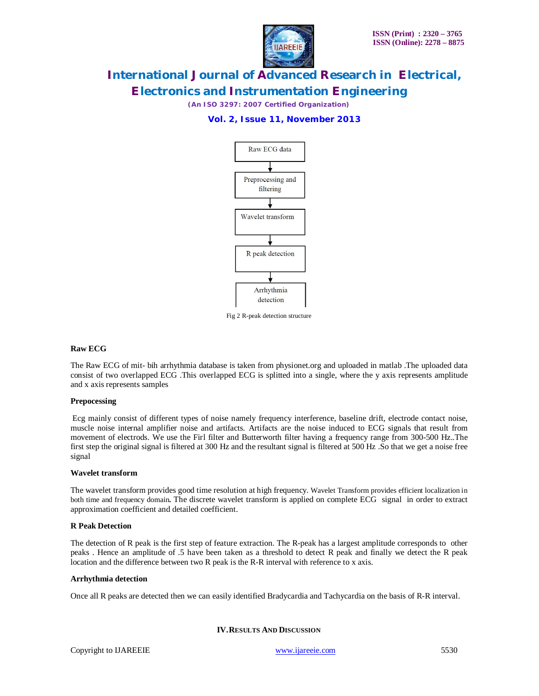

*(An ISO 3297: 2007 Certified Organization)*

### **Vol. 2, Issue 11, November 2013**



Fig 2 R-peak detection structure

#### **Raw ECG**

The Raw ECG of mit- bih arrhythmia database is taken from physionet.org and uploaded in matlab .The uploaded data consist of two overlapped ECG .This overlapped ECG is splitted into a single, where the y axis represents amplitude and x axis represents samples

#### **Prepocessing**

Ecg mainly consist of different types of noise namely frequency interference, baseline drift, electrode contact noise, muscle noise internal amplifier noise and artifacts. Artifacts are the noise induced to ECG signals that result from movement of electrods. We use the Firl filter and Butterworth filter having a frequency range from 300-500 Hz..The first step the original signal is filtered at 300 Hz and the resultant signal is filtered at 500 Hz .So that we get a noise free signal

#### **Wavelet transform**

The wavelet transform provides good time resolution at high frequency. Wavelet Transform provides efficient localization in both time and frequency domain**.** The discrete wavelet transform is applied on complete ECG signal in order to extract approximation coefficient and detailed coefficient.

#### **R Peak Detection**

The detection of R peak is the first step of feature extraction. The R-peak has a largest amplitude corresponds to other peaks . Hence an amplitude of .5 have been taken as a threshold to detect R peak and finally we detect the R peak location and the difference between two R peak is the R-R interval with reference to x axis.

#### **Arrhythmia detection**

Once all R peaks are detected then we can easily identified Bradycardia and Tachycardia on the basis of R-R interval.

#### **IV.RESULTS AND DISCUSSION**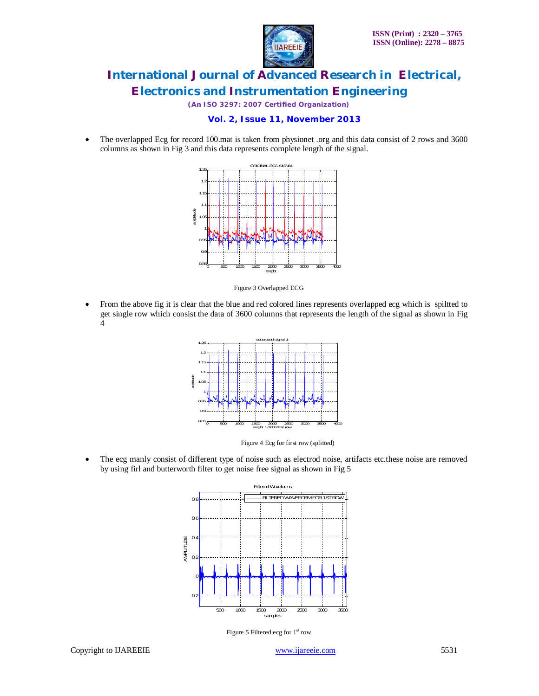

*(An ISO 3297: 2007 Certified Organization)*

#### **Vol. 2, Issue 11, November 2013**

 The overlapped Ecg for record 100.mat is taken from physionet .org and this data consist of 2 rows and 3600 columns as shown in Fig 3 and this data represents complete length of the signal.



Figure 3 Overlapped ECG

 From the above fig it is clear that the blue and red colored lines represents overlapped ecg which is spiltted to get single row which consist the data of 3600 columns that represents the length of the signal as shown in Fig 4



Figure 4 Ecg for first row (splitted)

 The ecg manly consist of different type of noise such as electrod noise, artifacts etc.these noise are removed by using firl and butterworth filter to get noise free signal as shown in Fig 5



Figure 5 Filtered ecg for 1<sup>st</sup> row

Copyright to IJAREEIE www.ijareeie.com 5531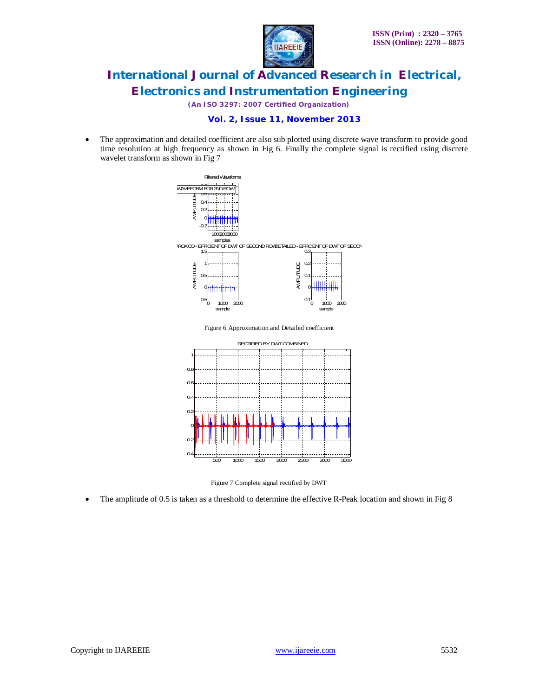

*(An ISO 3297: 2007 Certified Organization)*



 The approximation and detailed coefficient are also sub plotted using discrete wave transform to provide good time resolution at high frequency as shown in Fig 6. Finally the complete signal is rectified using discrete wavelet transform as shown in Fig 7



Figure 7 Complete signal rectified by DWT The amplitude of 0.5 is taken as a threshold to determine the effective R-Peak location and shown in Fig 8

 $\Omega$ -0.2  $\circ$  $\Omega$  $Q$ 

500 1000 1500 2000 2500 3000 3500